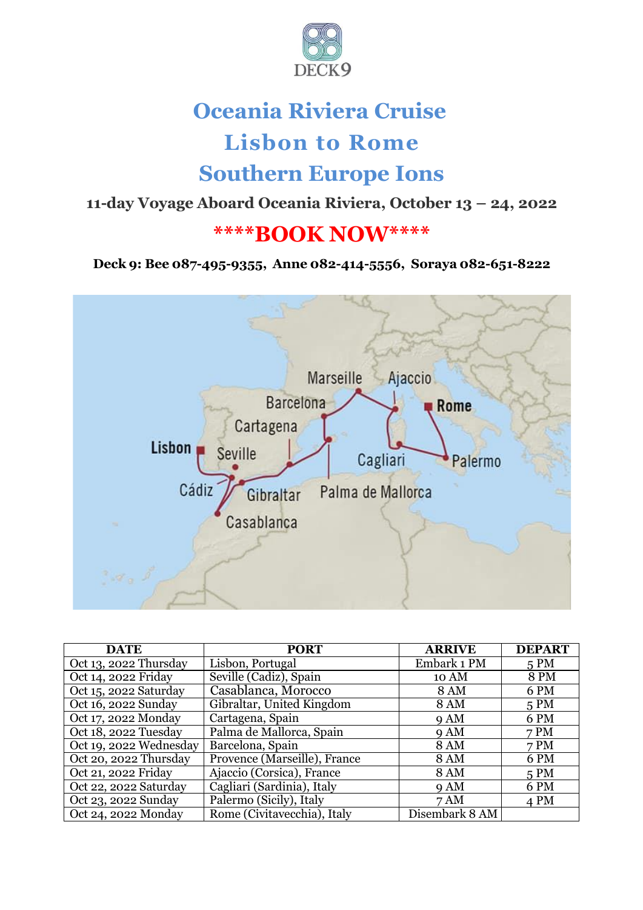

# **Oceania Riviera Cruise Lisbon to Rome Southern Europe Ions**

**11-day Voyage Aboard Oceania Riviera, October 13 – 24, 2022**

# **\*\*\*\*BOOK NOW\*\*\*\***

#### **Deck 9: Bee 087-495-9355, Anne 082-414-5556, Soraya 082-651-8222**



| <b>DATE</b>            | <b>PORT</b>                  | <b>ARRIVE</b>  | <b>DEPART</b> |
|------------------------|------------------------------|----------------|---------------|
| Oct 13, 2022 Thursday  | Lisbon, Portugal             | Embark 1 PM    | 5 PM          |
| Oct 14, 2022 Friday    | Seville (Cadiz), Spain       | 10 AM          | 8 PM          |
| Oct 15, 2022 Saturday  | Casablanca, Morocco          | <b>8 AM</b>    | 6 PM          |
| Oct 16, 2022 Sunday    | Gibraltar, United Kingdom    | <b>8 AM</b>    | 5 PM          |
| Oct 17, 2022 Monday    | Cartagena, Spain             | 9AM            | 6 PM          |
| Oct 18, 2022 Tuesday   | Palma de Mallorca, Spain     | 9AM            | 7 PM          |
| Oct 19, 2022 Wednesday | Barcelona, Spain             | <b>8 AM</b>    | 7 PM          |
| Oct 20, 2022 Thursday  | Provence (Marseille), France | <b>8 AM</b>    | 6 PM          |
| Oct 21, 2022 Friday    | Ajaccio (Corsica), France    | <b>8 AM</b>    | 5 PM          |
| Oct 22, 2022 Saturday  | Cagliari (Sardinia), Italy   | 9AM            | 6 PM          |
| Oct 23, 2022 Sunday    | Palermo (Sicily), Italy      | 7 AM           | 4 PM          |
| Oct 24, 2022 Monday    | Rome (Civitavecchia), Italy  | Disembark 8 AM |               |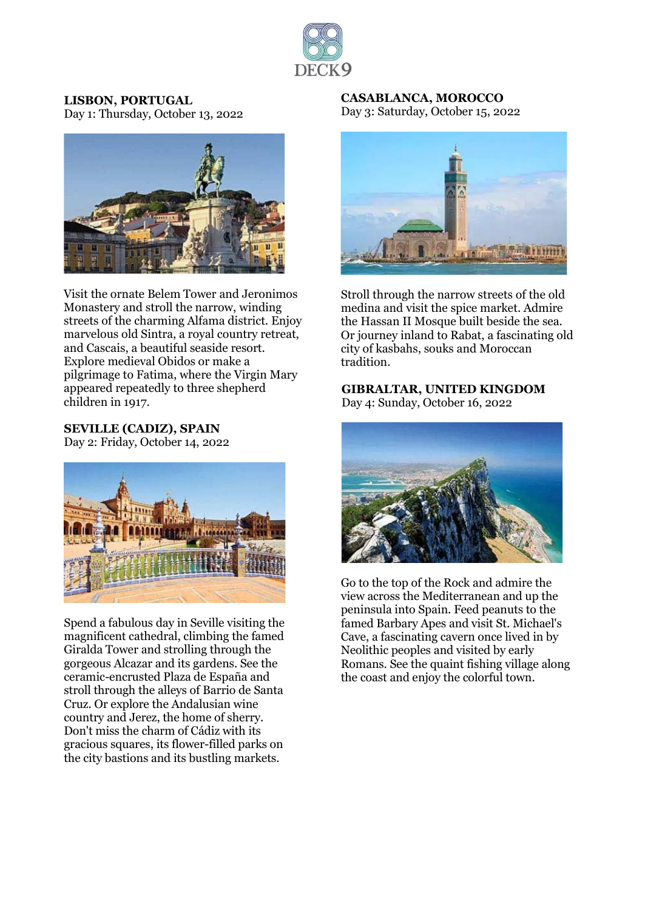

**LISBON, PORTUGAL** Day 1: Thursday, October 13, 2022



Visit the ornate Belem Tower and Jeronimos Monastery and stroll the narrow, winding streets of the charming Alfama district. Enjoy marvelous old Sintra, a royal country retreat, and Cascais, a beautiful seaside resort. Explore medieval Obidos or make a pilgrimage to Fatima, where the Virgin Mary appeared repeatedly to three shepherd children in 1917.

#### **SEVILLE (CADIZ), SPAIN**

Day 2: Friday, October 14, 2022



Spend a fabulous day in Seville visiting the magnificent cathedral, climbing the famed Giralda Tower and strolling through the gorgeous Alcazar and its gardens. See the ceramic-encrusted Plaza de España and stroll through the alleys of Barrio de Santa Cruz. Or explore the Andalusian wine country and Jerez, the home of sherry. Don't miss the charm of Cádiz with its gracious squares, its flower-filled parks on the city bastions and its bustling markets.

**CASABLANCA, MOROCCO** Day 3: Saturday, October 15, 2022



Stroll through the narrow streets of the old medina and visit the spice market. Admire the Hassan II Mosque built beside the sea. Or journey inland to Rabat, a fascinating old city of kasbahs, souks and Moroccan tradition.

#### **GIBRALTAR, UNITED KINGDOM** Day 4: Sunday, October 16, 2022



Go to the top of the Rock and admire the view across the Mediterranean and up the peninsula into Spain. Feed peanuts to the famed Barbary Apes and visit St. Michael's Cave, a fascinating cavern once lived in by Neolithic peoples and visited by early Romans. See the quaint fishing village along the coast and enjoy the colorful town.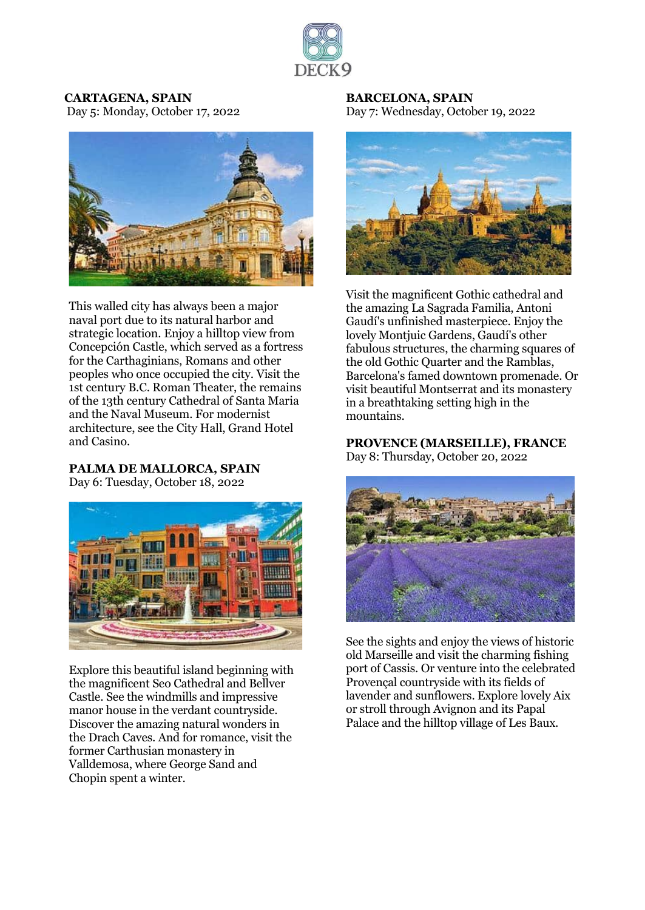

#### **CARTAGENA, SPAIN**

Day 5: Monday, October 17, 2022



This walled city has always been a major naval port due to its natural harbor and strategic location. Enjoy a hilltop view from Concepción Castle, which served as a fortress for the Carthaginians, Romans and other peoples who once occupied the city. Visit the 1st century B.C. Roman Theater, the remains of the 13th century Cathedral of Santa Maria and the Naval Museum. For modernist architecture, see the City Hall, Grand Hotel and Casino.

#### **PALMA DE MALLORCA, SPAIN**

Day 6: Tuesday, October 18, 2022



Explore this beautiful island beginning with the magnificent Seo Cathedral and Bellver Castle. See the windmills and impressive manor house in the verdant countryside. Discover the amazing natural wonders in the Drach Caves. And for romance, visit the former Carthusian monastery in Valldemosa, where George Sand and Chopin spent a winter.

**BARCELONA, SPAIN** Day 7: Wednesday, October 19, 2022



Visit the magnificent Gothic cathedral and the amazing La Sagrada Familia, Antoni Gaudí's unfinished masterpiece. Enjoy the lovely Montjuic Gardens, Gaudí's other fabulous structures, the charming squares of the old Gothic Quarter and the Ramblas, Barcelona's famed downtown promenade. Or visit beautiful Montserrat and its monastery in a breathtaking setting high in the mountains.

**PROVENCE (MARSEILLE), FRANCE** Day 8: Thursday, October 20, 2022



See the sights and enjoy the views of historic old Marseille and visit the charming fishing port of Cassis. Or venture into the celebrated Provençal countryside with its fields of lavender and sunflowers. Explore lovely Aix or stroll through Avignon and its Papal Palace and the hilltop village of Les Baux.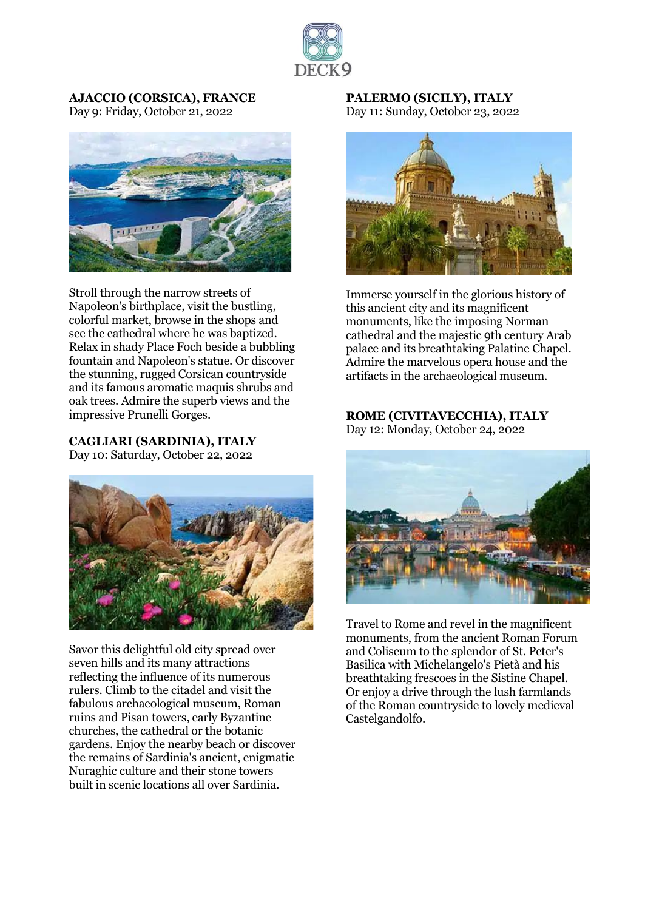

**AJACCIO (CORSICA), FRANCE** Day 9: Friday, October 21, 2022



Stroll through the narrow streets of Napoleon's birthplace, visit the bustling, colorful market, browse in the shops and see the cathedral where he was baptized. Relax in shady Place Foch beside a bubbling fountain and Napoleon's statue. Or discover the stunning, rugged Corsican countryside and its famous aromatic maquis shrubs and oak trees. Admire the superb views and the impressive Prunelli Gorges.

**CAGLIARI (SARDINIA), ITALY**

Day 10: Saturday, October 22, 2022



Savor this delightful old city spread over seven hills and its many attractions reflecting the influence of its numerous rulers. Climb to the citadel and visit the fabulous archaeological museum, Roman ruins and Pisan towers, early Byzantine churches, the cathedral or the botanic gardens. Enjoy the nearby beach or discover the remains of Sardinia's ancient, enigmatic Nuraghic culture and their stone towers built in scenic locations all over Sardinia.

**PALERMO (SICILY), ITALY** Day 11: Sunday, October 23, 2022



Immerse yourself in the glorious history of this ancient city and its magnificent monuments, like the imposing Norman cathedral and the majestic 9th century Arab palace and its breathtaking Palatine Chapel. Admire the marvelous opera house and the artifacts in the archaeological museum.

## **ROME (CIVITAVECCHIA), ITALY**

Day 12: Monday, October 24, 2022



Travel to Rome and revel in the magnificent monuments, from the ancient Roman Forum and Coliseum to the splendor of St. Peter's Basilica with Michelangelo's Pietà and his breathtaking frescoes in the Sistine Chapel. Or enjoy a drive through the lush farmlands of the Roman countryside to lovely medieval Castelgandolfo.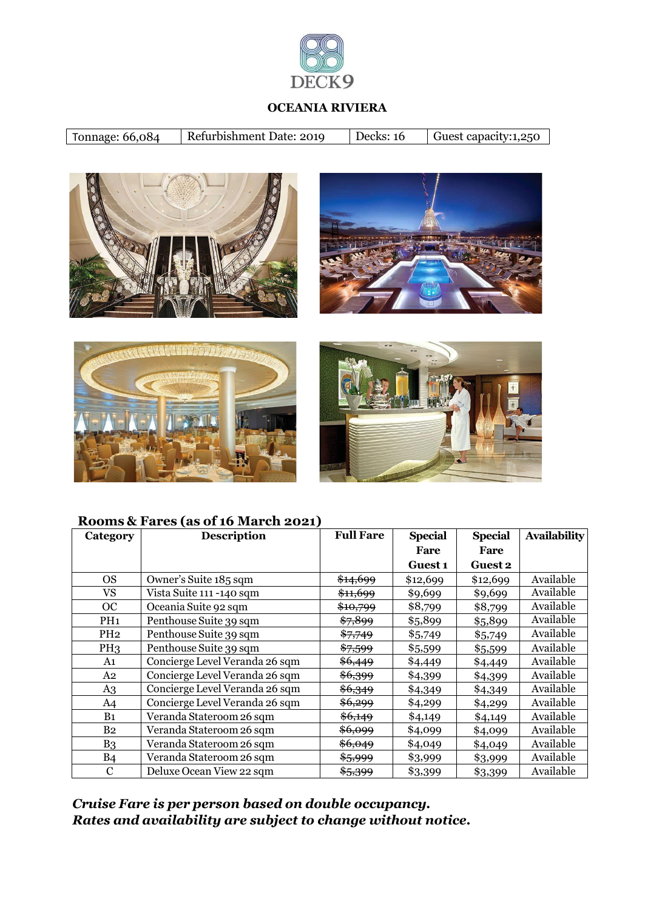

#### **OCEANIA RIVIERA**

| Tonnage: 66,084 | Refurbishment Date: 2019 | Decks: 16 | Guest capacity:1,250 |
|-----------------|--------------------------|-----------|----------------------|
|                 |                          |           |                      |









#### **Rooms & Fares (as of 16 March 2021)**

| Category        | <b>Description</b>             | <b>Full Fare</b>    | <b>Special</b> | <b>Special</b> | <b>Availability</b> |
|-----------------|--------------------------------|---------------------|----------------|----------------|---------------------|
|                 |                                |                     | Fare           | Fare           |                     |
|                 |                                |                     | <b>Guest 1</b> | <b>Guest 2</b> |                     |
| <sub>OS</sub>   | Owner's Suite 185 sqm          | \$14,699            | \$12,699       | \$12,699       | Available           |
| VS              | Vista Suite 111 -140 sqm       | <del>\$11,699</del> | \$9,699        | \$9,699        | Available           |
| OC              | Oceania Suite 92 sqm           | <del>\$10,799</del> | \$8,799        | \$8,799        | Available           |
| PH <sub>1</sub> | Penthouse Suite 39 sqm         | \$7,899             | \$5,899        | \$5,899        | Available           |
| PH <sub>2</sub> | Penthouse Suite 39 sqm         | \$7,749             | \$5,749        | \$5,749        | Available           |
| PH <sub>3</sub> | Penthouse Suite 39 sqm         | \$7,599             | \$5,599        | \$5,599        | Available           |
| A1              | Concierge Level Veranda 26 sqm | \$6,449             | \$4,449        | \$4,449        | Available           |
| A2              | Concierge Level Veranda 26 sqm | \$6,399             | \$4,399        | \$4,399        | Available           |
| A3              | Concierge Level Veranda 26 sqm | \$6,349             | \$4,349        | \$4,349        | Available           |
| A <sub>4</sub>  | Concierge Level Veranda 26 sqm | \$6,299             | \$4,299        | \$4,299        | Available           |
| B <sub>1</sub>  | Veranda Stateroom 26 sqm       | \$6,149             | \$4,149        | \$4,149        | Available           |
| B <sub>2</sub>  | Veranda Stateroom 26 sqm       | \$6,099             | \$4,099        | \$4,099        | Available           |
| B <sub>3</sub>  | Veranda Stateroom 26 sqm       | \$6,049             | \$4,049        | \$4,049        | Available           |
| B <sub>4</sub>  | Veranda Stateroom 26 sqm       | \$5,999             | \$3,999        | \$3,999        | Available           |
| $\mathbf C$     | Deluxe Ocean View 22 sqm       | \$5,399             | \$3,399        | \$3,399        | Available           |

*Cruise Fare is per person based on double occupancy. Rates and availability are subject to change without notice.*